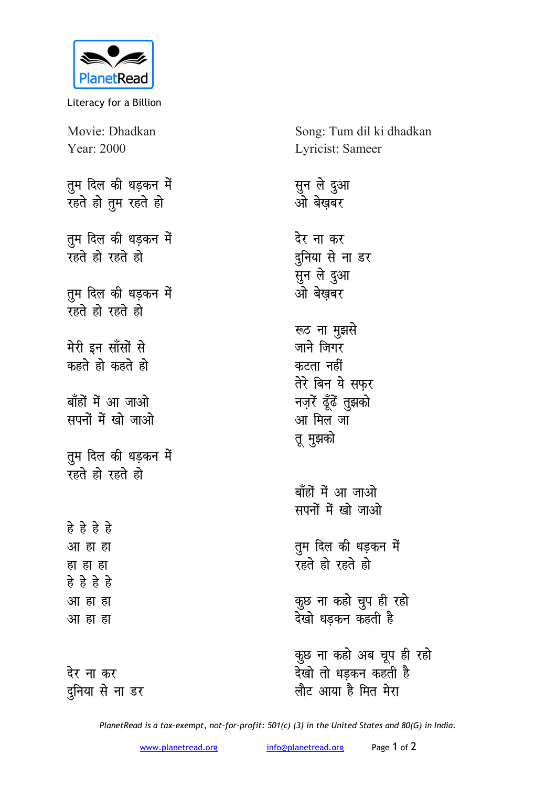

Literacy for a Billion

Movie: Dhadkan Year: 2000

तुम दिल की धड़कन में रहते हो तुम रहते हो

तुम दिल की धड़कन में **v** हो रहते हो

तुम दिल की धड़कन में **v**हते हो रहते हो

मेरी इन साँसों से कहते हो कहते **हो** 

बाँहों में आ जाओ **सपनों में खो जाओ** 

**तुम दिल की धड़कन में रहते हो रहते हो** 

**gs gs gs gs**  <u>आ</u> हा हा हा हा ह<u>ा</u> **gs gs gs gs** <u>आ हा ह</u>ा <u>आ हा ह</u>ा

<u>देर ना कर</u> <u>दु</u>निया से ना डर Song: Tum dil ki dhadkan Lyricist: Sameer

सुन ले दुआ <u>ओ</u> बेखबर <u>देर ना कर</u> दुनिया से ना डर सुन ले दुआ ओबेखबर रूठ ना मुझसे जाने जिगर कटता नहीं तेरे बिन ये सफर **नज़रें** ढूँढें तुझको आ मिल जा **तू** मुझको बाँहों में आ जाओ **सपनों में खो जाओ** 

**तूम दिल की धड़कन में रहते हो रहते हो** 

<mark>कुछ ना कहो चुप ही रहो</mark> <u>देखो धडकन कहती है</u>

<mark>कुछ ना कहो अब चूप ही रहो</mark> <u>र</u>ेखो तो धडकन कहती है <u>लौट आया</u> है मित मेरा

*PlanetRead is a tax-exempt, not-for-profit: 501(c) (3) in the United States and 80(G) in India.*